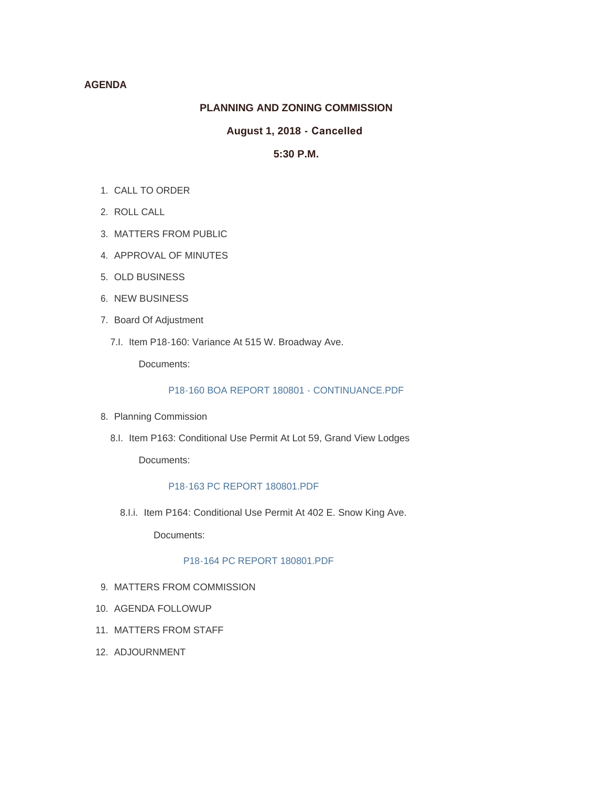### **AGENDA**

### **PLANNING AND ZONING COMMISSION**

### **August 1, 2018 - Cancelled**

## **5:30 P.M.**

- 1. CALL TO ORDER
- 2. ROLL CALL
- MATTERS FROM PUBLIC 3.
- 4. APPROVAL OF MINUTES
- 5. OLD BUSINESS
- 6. NEW BUSINESS
- 7. Board Of Adjustment
	- 7.I. Item P18-160: Variance At 515 W. Broadway Ave.

Documents:

### P18-160 BOA REPORT 180801 - CONTINUANCE.PDF

- 8. Planning Commission
	- 8.I. Item P163: Conditional Use Permit At Lot 59, Grand View Lodges

Documents:

#### P18-163 PC REPORT 180801.PDF

8.I.i. Item P164: Conditional Use Permit At 402 E. Snow King Ave.

Documents:

#### P18-164 PC REPORT 180801.PDF

- 9. MATTERS FROM COMMISSION
- 10. AGENDA FOLLOWUP
- 11. MATTERS FROM STAFF
- 12. ADJOURNMENT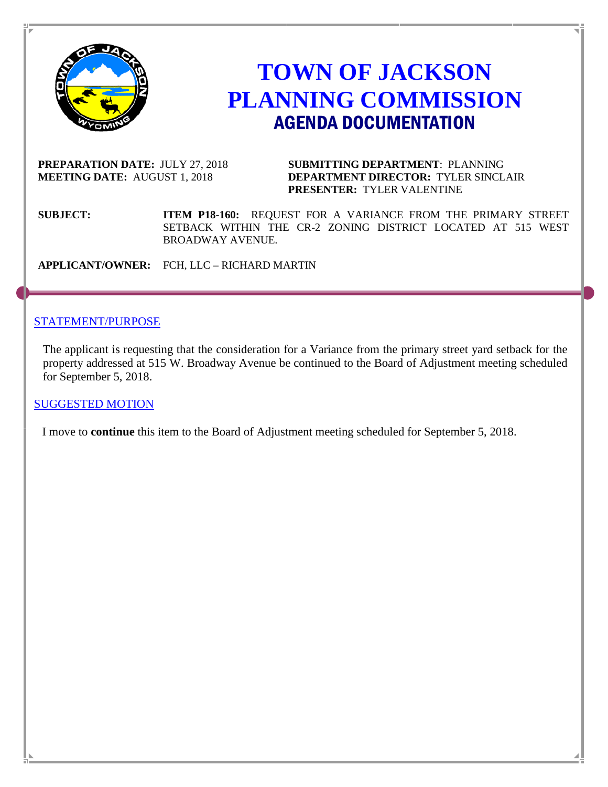

# **TOWN OF JACKSON PLANNING COMMISSION** AGENDA DOCUMENTATION

**PREPARATION DATE:** JULY 27, 2018 **SUBMITTING DEPARTMENT**: PLANNING **MEETING DATE:** AUGUST 1, 2018 **DEPARTMENT DIRECTOR:** TYLER SINCLAIR **PRESENTER:** TYLER VALENTINE

**SUBJECT: ITEM P18-160: REQUEST FOR A VARIANCE FROM THE PRIMARY STREET** SETBACK WITHIN THE CR-2 ZONING DISTRICT LOCATED AT 515 WEST BROADWAY AVENUE.

**APPLICANT/OWNER:** FCH, LLC – RICHARD MARTIN

# STATEMENT/PURPOSE

The applicant is requesting that the consideration for a Variance from the primary street yard setback for the property addressed at 515 W. Broadway Avenue be continued to the Board of Adjustment meeting scheduled for September 5, 2018.

## SUGGESTED MOTION

I move to **continue** this item to the Board of Adjustment meeting scheduled for September 5, 2018.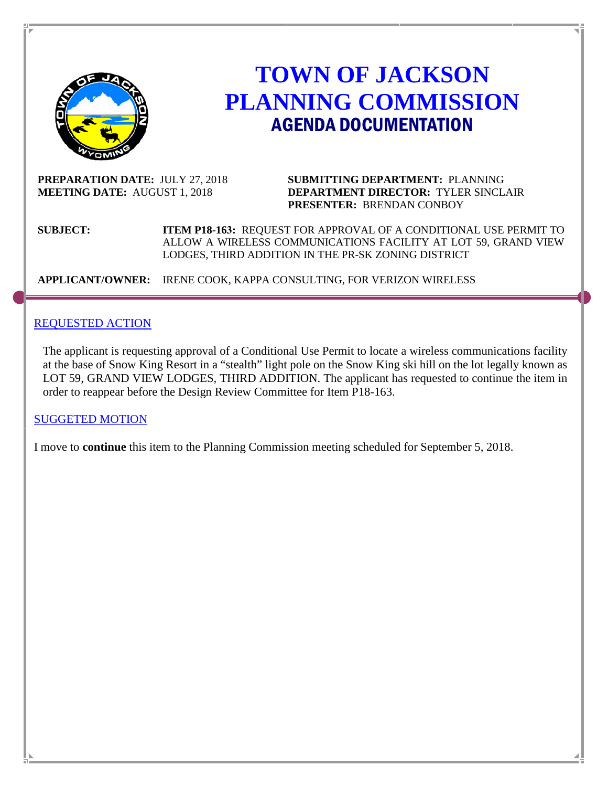

# **TOWN OF JACKSON PLANNING COMMISSION** AGENDA DOCUMENTATION

**PREPARATION DATE:** JULY 27, 2018 **SUBMITTING DEPARTMENT:** PLANNING **MEETING DATE:** AUGUST 1, 2018 **DEPARTMENT DIRECTOR:** TYLER SINCLAIR **PRESENTER:** BRENDAN CONBOY

**SUBJECT: ITEM P18-163:** REQUEST FOR APPROVAL OF A CONDITIONAL USE PERMIT TO ALLOW A WIRELESS COMMUNICATIONS FACILITY AT LOT 59, GRAND VIEW LODGES, THIRD ADDITION IN THE PR-SK ZONING DISTRICT

**APPLICANT/OWNER:** IRENE COOK, KAPPA CONSULTING, FOR VERIZON WIRELESS

# REQUESTED ACTION

The applicant is requesting approval of a Conditional Use Permit to locate a wireless communications facility at the base of Snow King Resort in a "stealth" light pole on the Snow King ski hill on the lot legally known as LOT 59, GRAND VIEW LODGES, THIRD ADDITION. The applicant has requested to continue the item in order to reappear before the Design Review Committee for Item P18-163.

# SUGGETED MOTION

I move to **continue** this item to the Planning Commission meeting scheduled for September 5, 2018.